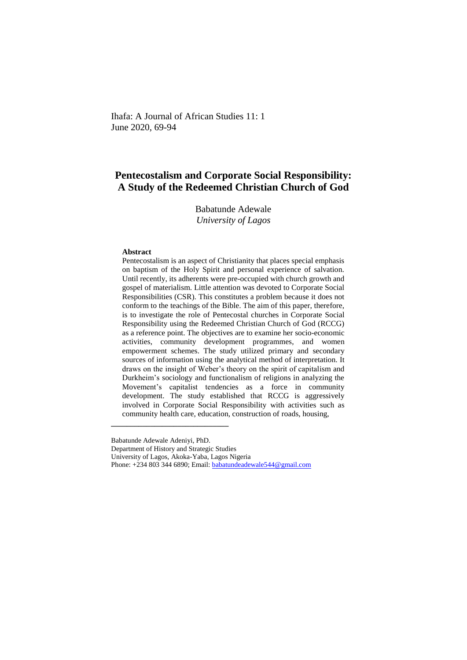Ihafa: A Journal of African Studies 11: 1 June 2020, 69-94

# **Pentecostalism and Corporate Social Responsibility: A Study of the Redeemed Christian Church of God**

Babatunde Adewale *University of Lagos*

### **Abstract**

Pentecostalism is an aspect of Christianity that places special emphasis on baptism of the Holy Spirit and personal experience of salvation. Until recently, its adherents were pre-occupied with church growth and gospel of materialism. Little attention was devoted to Corporate Social Responsibilities (CSR). This constitutes a problem because it does not conform to the teachings of the Bible. The aim of this paper, therefore, is to investigate the role of Pentecostal churches in Corporate Social Responsibility using the Redeemed Christian Church of God (RCCG) as a reference point. The objectives are to examine her socio-economic activities, community development programmes, and women empowerment schemes. The study utilized primary and secondary sources of information using the analytical method of interpretation. It draws on the insight of Weber's theory on the spirit of capitalism and Durkheim's sociology and functionalism of religions in analyzing the Movement's capitalist tendencies as a force in community development. The study established that RCCG is aggressively involved in Corporate Social Responsibility with activities such as community health care, education, construction of roads, housing,

**\_\_\_\_\_\_\_\_\_\_\_\_\_\_\_\_\_\_\_\_\_\_\_\_\_\_\_\_\_\_**

Department of History and Strategic Studies

Babatunde Adewale Adeniyi, PhD.

University of Lagos, Akoka-Yaba, Lagos Nigeria

Phone: +234 803 344 6890; Email[: babatundeadewale544@gmail.com](mailto:babatundeadewale544@gmail.com)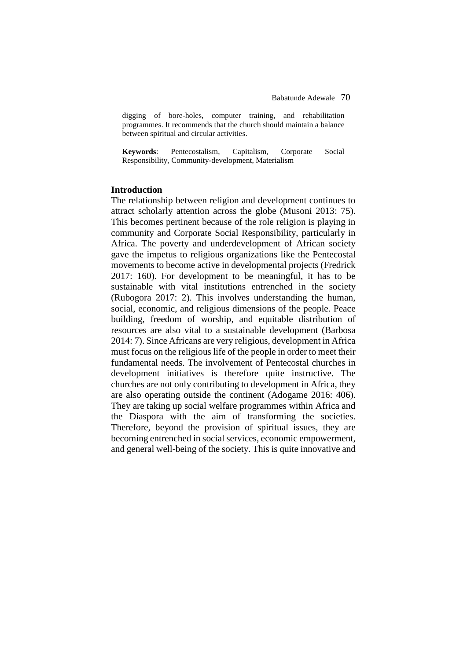digging of bore-holes, computer training, and rehabilitation programmes. It recommends that the church should maintain a balance between spiritual and circular activities.

**Keywords**: Pentecostalism, Capitalism, Corporate Social Responsibility, Community-development, Materialism

## **Introduction**

The relationship between religion and development continues to attract scholarly attention across the globe (Musoni 2013: 75). This becomes pertinent because of the role religion is playing in community and Corporate Social Responsibility, particularly in Africa. The poverty and underdevelopment of African society gave the impetus to religious organizations like the Pentecostal movements to become active in developmental projects (Fredrick 2017: 160). For development to be meaningful, it has to be sustainable with vital institutions entrenched in the society (Rubogora 2017: 2). This involves understanding the human, social, economic, and religious dimensions of the people. Peace building, freedom of worship, and equitable distribution of resources are also vital to a sustainable development (Barbosa 2014: 7). Since Africans are very religious, development in Africa must focus on the religious life of the people in order to meet their fundamental needs. The involvement of Pentecostal churches in development initiatives is therefore quite instructive. The churches are not only contributing to development in Africa, they are also operating outside the continent (Adogame 2016: 406). They are taking up social welfare programmes within Africa and the Diaspora with the aim of transforming the societies. Therefore, beyond the provision of spiritual issues, they are becoming entrenched in social services, economic empowerment, and general well-being of the society. This is quite innovative and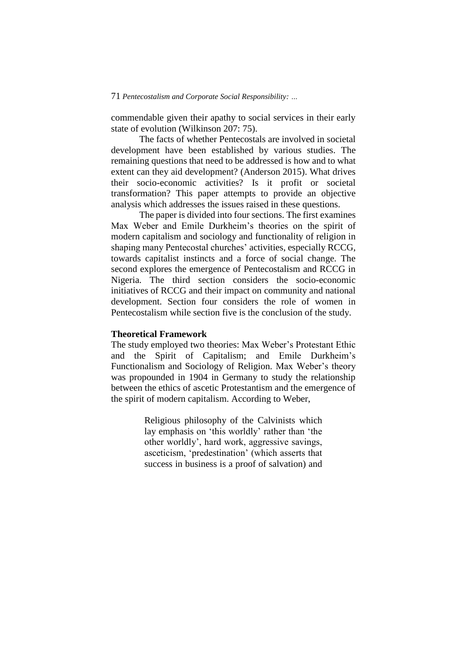commendable given their apathy to social services in their early state of evolution (Wilkinson 207: 75).

The facts of whether Pentecostals are involved in societal development have been established by various studies. The remaining questions that need to be addressed is how and to what extent can they aid development? (Anderson 2015). What drives their socio-economic activities? Is it profit or societal transformation? This paper attempts to provide an objective analysis which addresses the issues raised in these questions.

The paper is divided into four sections. The first examines Max Weber and Emile Durkheim's theories on the spirit of modern capitalism and sociology and functionality of religion in shaping many Pentecostal churches' activities, especially RCCG, towards capitalist instincts and a force of social change. The second explores the emergence of Pentecostalism and RCCG in Nigeria. The third section considers the socio-economic initiatives of RCCG and their impact on community and national development. Section four considers the role of women in Pentecostalism while section five is the conclusion of the study.

## **Theoretical Framework**

The study employed two theories: Max Weber's Protestant Ethic and the Spirit of Capitalism; and Emile Durkheim's Functionalism and Sociology of Religion. Max Weber's theory was propounded in 1904 in Germany to study the relationship between the ethics of ascetic Protestantism and the emergence of the spirit of modern capitalism. According to Weber,

> Religious philosophy of the Calvinists which lay emphasis on 'this worldly' rather than 'the other worldly', hard work, aggressive savings, asceticism, 'predestination' (which asserts that success in business is a proof of salvation) and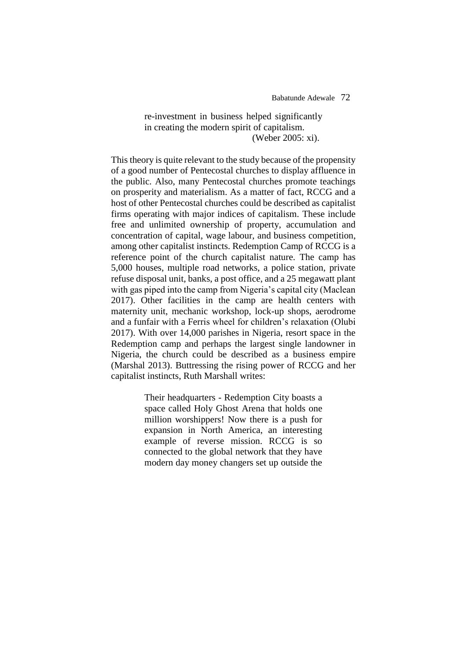Babatunde Adewale72

## re-investment in business helped significantly in creating the modern spirit of capitalism. (Weber 2005: xi).

This theory is quite relevant to the study because of the propensity of a good number of Pentecostal churches to display affluence in the public. Also, many Pentecostal churches promote teachings on prosperity and materialism. As a matter of fact, RCCG and a host of other Pentecostal churches could be described as capitalist firms operating with major indices of capitalism. These include free and unlimited ownership of property, accumulation and concentration of capital, wage labour, and business competition, among other capitalist instincts. Redemption Camp of RCCG is a reference point of the church capitalist nature. The camp has 5,000 houses, multiple road networks, a police station, private refuse disposal unit, banks, a post office, and a 25 megawatt plant with gas piped into the camp from Nigeria's capital city (Maclean 2017). Other facilities in the camp are health centers with maternity unit, mechanic workshop, lock-up shops, aerodrome and a funfair with a Ferris wheel for children's relaxation (Olubi 2017). With over 14,000 parishes in Nigeria, resort space in the Redemption camp and perhaps the largest single landowner in Nigeria, the church could be described as a business empire (Marshal 2013). Buttressing the rising power of RCCG and her capitalist instincts, Ruth Marshall writes:

> Their headquarters - Redemption City boasts a space called Holy Ghost Arena that holds one million worshippers! Now there is a push for expansion in North America, an interesting example of reverse mission. RCCG is so connected to the global network that they have modern day money changers set up outside the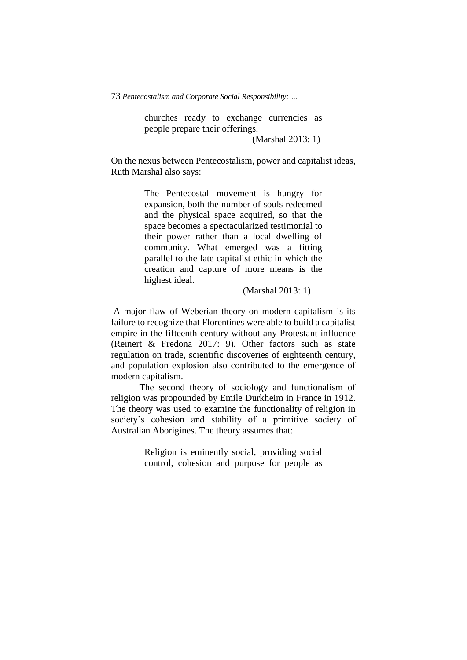churches ready to exchange currencies as people prepare their offerings.

(Marshal 2013: 1)

On the nexus between Pentecostalism, power and capitalist ideas, Ruth Marshal also says:

> The Pentecostal movement is hungry for expansion, both the number of souls redeemed and the physical space acquired, so that the space becomes a spectacularized testimonial to their power rather than a local dwelling of community. What emerged was a fitting parallel to the late capitalist ethic in which the creation and capture of more means is the highest ideal.

> > (Marshal 2013: 1)

A major flaw of Weberian theory on modern capitalism is its failure to recognize that Florentines were able to build a capitalist empire in the fifteenth century without any Protestant influence (Reinert & Fredona 2017: 9). Other factors such as state regulation on trade, scientific discoveries of eighteenth century, and population explosion also contributed to the emergence of modern capitalism.

The second theory of sociology and functionalism of religion was propounded by Emile Durkheim in France in 1912. The theory was used to examine the functionality of religion in society's cohesion and stability of a primitive society of Australian Aborigines. The theory assumes that:

> Religion is eminently social, providing social control, cohesion and purpose for people as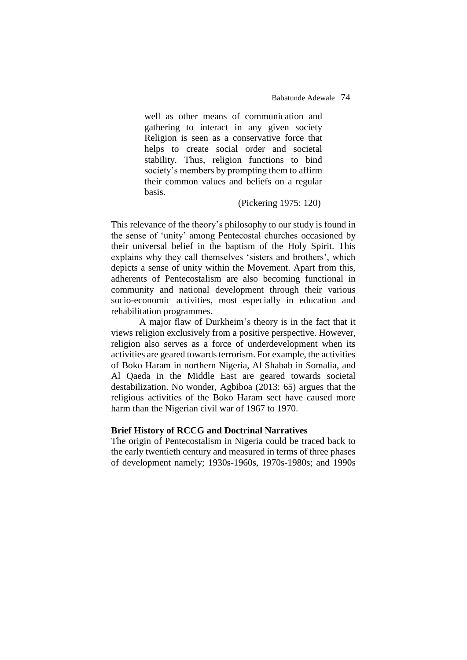well as other means of communication and gathering to interact in any given society Religion is seen as a conservative force that helps to create social order and societal stability. Thus, religion functions to bind society's members by prompting them to affirm their common values and beliefs on a regular basis.

## (Pickering 1975: 120)

This relevance of the theory's philosophy to our study is found in the sense of 'unity' among Pentecostal churches occasioned by their universal belief in the baptism of the Holy Spirit. This explains why they call themselves 'sisters and brothers', which depicts a sense of unity within the Movement. Apart from this, adherents of Pentecostalism are also becoming functional in community and national development through their various socio-economic activities, most especially in education and rehabilitation programmes.

A major flaw of Durkheim's theory is in the fact that it views religion exclusively from a positive perspective. However, religion also serves as a force of underdevelopment when its activities are geared towards terrorism. For example, the activities of Boko Haram in northern Nigeria, Al Shabab in Somalia, and Al Qaeda in the Middle East are geared towards societal destabilization. No wonder, Agbiboa (2013: 65) argues that the religious activities of the Boko Haram sect have caused more harm than the Nigerian civil war of 1967 to 1970.

## **Brief History of RCCG and Doctrinal Narratives**

The origin of Pentecostalism in Nigeria could be traced back to the early twentieth century and measured in terms of three phases of development namely; 1930s-1960s, 1970s-1980s; and 1990s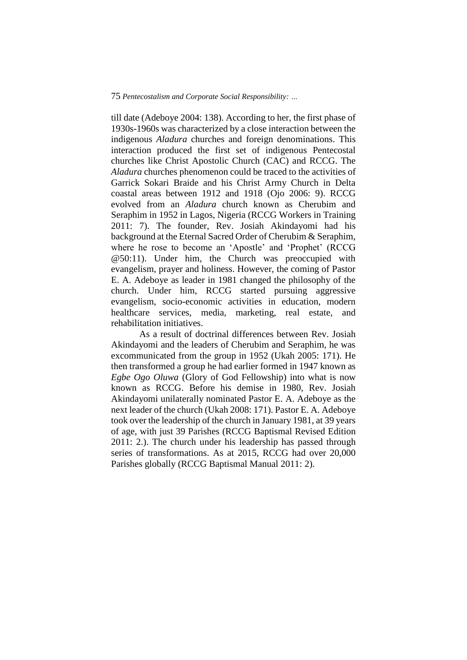till date (Adeboye 2004: 138). According to her, the first phase of 1930s-1960s was characterized by a close interaction between the indigenous *Aladura* churches and foreign denominations. This interaction produced the first set of indigenous Pentecostal churches like Christ Apostolic Church (CAC) and RCCG. The *Aladura* churches phenomenon could be traced to the activities of Garrick Sokari Braide and his Christ Army Church in Delta coastal areas between 1912 and 1918 (Ojo 2006: 9). RCCG evolved from an *Aladura* church known as Cherubim and Seraphim in 1952 in Lagos, Nigeria (RCCG Workers in Training 2011: 7). The founder, Rev. Josiah Akindayomi had his background at the Eternal Sacred Order of Cherubim & Seraphim, where he rose to become an 'Apostle' and 'Prophet' (RCCG @50:11). Under him, the Church was preoccupied with evangelism, prayer and holiness. However, the coming of Pastor E. A. Adeboye as leader in 1981 changed the philosophy of the church. Under him, RCCG started pursuing aggressive evangelism, socio-economic activities in education, modern healthcare services, media, marketing, real estate, and rehabilitation initiatives.

As a result of doctrinal differences between Rev. Josiah Akindayomi and the leaders of Cherubim and Seraphim, he was excommunicated from the group in 1952 (Ukah 2005: 171). He then transformed a group he had earlier formed in 1947 known as *Egbe Ogo Oluwa* (Glory of God Fellowship) into what is now known as RCCG. Before his demise in 1980, Rev. Josiah Akindayomi unilaterally nominated Pastor E. A. Adeboye as the next leader of the church (Ukah 2008: 171). Pastor E. A. Adeboye took over the leadership of the church in January 1981, at 39 years of age, with just 39 Parishes (RCCG Baptismal Revised Edition 2011: 2.). The church under his leadership has passed through series of transformations. As at 2015, RCCG had over 20,000 Parishes globally (RCCG Baptismal Manual 2011: 2).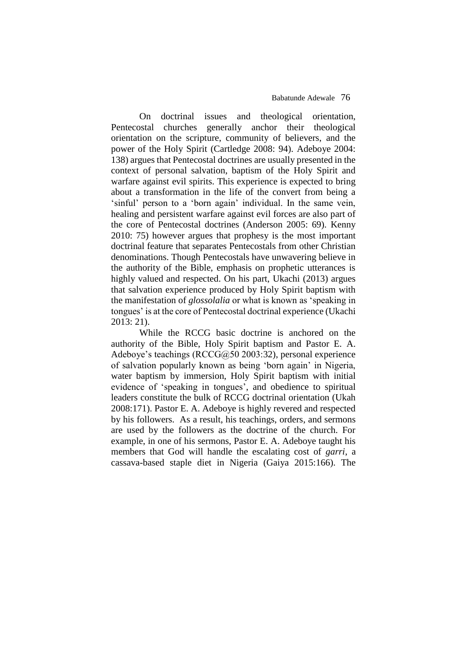On doctrinal issues and theological orientation, Pentecostal churches generally anchor their theological orientation on the scripture, community of believers, and the power of the Holy Spirit (Cartledge 2008: 94). Adeboye 2004: 138) argues that Pentecostal doctrines are usually presented in the context of personal salvation, baptism of the Holy Spirit and warfare against evil spirits. This experience is expected to bring about a transformation in the life of the convert from being a 'sinful' person to a 'born again' individual. In the same vein, healing and persistent warfare against evil forces are also part of the core of Pentecostal doctrines (Anderson 2005: 69). Kenny 2010: 75) however argues that prophesy is the most important doctrinal feature that separates Pentecostals from other Christian denominations. Though Pentecostals have unwavering believe in the authority of the Bible, emphasis on prophetic utterances is highly valued and respected. On his part, Ukachi (2013) argues that salvation experience produced by Holy Spirit baptism with the manifestation of *glossolalia* or what is known as 'speaking in tongues' is at the core of Pentecostal doctrinal experience (Ukachi 2013: 21).

While the RCCG basic doctrine is anchored on the authority of the Bible, Holy Spirit baptism and Pastor E. A. Adeboye's teachings (RCCG@50 2003:32), personal experience of salvation popularly known as being 'born again' in Nigeria, water baptism by immersion, Holy Spirit baptism with initial evidence of 'speaking in tongues', and obedience to spiritual leaders constitute the bulk of RCCG doctrinal orientation (Ukah 2008:171). Pastor E. A. Adeboye is highly revered and respected by his followers. As a result, his teachings, orders, and sermons are used by the followers as the doctrine of the church. For example, in one of his sermons, Pastor E. A. Adeboye taught his members that God will handle the escalating cost of *garri*, a cassava-based staple diet in Nigeria (Gaiya 2015:166). The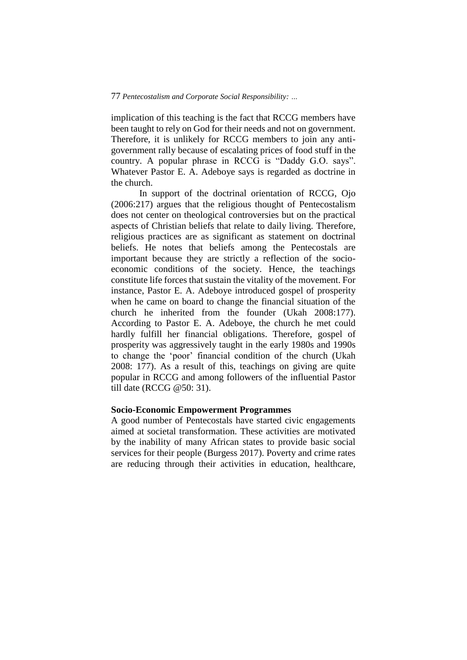implication of this teaching is the fact that RCCG members have been taught to rely on God for their needs and not on government. Therefore, it is unlikely for RCCG members to join any antigovernment rally because of escalating prices of food stuff in the country. A popular phrase in RCCG is "Daddy G.O. says". Whatever Pastor E. A. Adeboye says is regarded as doctrine in the church.

In support of the doctrinal orientation of RCCG, Ojo (2006:217) argues that the religious thought of Pentecostalism does not center on theological controversies but on the practical aspects of Christian beliefs that relate to daily living. Therefore, religious practices are as significant as statement on doctrinal beliefs. He notes that beliefs among the Pentecostals are important because they are strictly a reflection of the socioeconomic conditions of the society. Hence, the teachings constitute life forces that sustain the vitality of the movement. For instance, Pastor E. A. Adeboye introduced gospel of prosperity when he came on board to change the financial situation of the church he inherited from the founder (Ukah 2008:177). According to Pastor E. A. Adeboye, the church he met could hardly fulfill her financial obligations. Therefore, gospel of prosperity was aggressively taught in the early 1980s and 1990s to change the 'poor' financial condition of the church (Ukah 2008: 177). As a result of this, teachings on giving are quite popular in RCCG and among followers of the influential Pastor till date (RCCG @50: 31).

## **Socio-Economic Empowerment Programmes**

A good number of Pentecostals have started civic engagements aimed at societal transformation. These activities are motivated by the inability of many African states to provide basic social services for their people (Burgess 2017). Poverty and crime rates are reducing through their activities in education, healthcare,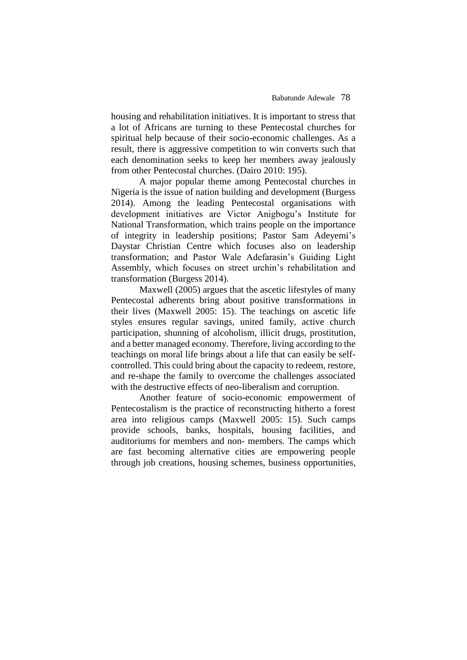housing and rehabilitation initiatives. It is important to stress that a lot of Africans are turning to these Pentecostal churches for spiritual help because of their socio-economic challenges. As a result, there is aggressive competition to win converts such that each denomination seeks to keep her members away jealously from other Pentecostal churches. (Dairo 2010: 195).

A major popular theme among Pentecostal churches in Nigeria is the issue of nation building and development (Burgess 2014). Among the leading Pentecostal organisations with development initiatives are Victor Anigbogu's Institute for National Transformation, which trains people on the importance of integrity in leadership positions; Pastor Sam Adeyemi's Daystar Christian Centre which focuses also on leadership transformation; and Pastor Wale Adefarasin's Guiding Light Assembly, which focuses on street urchin's rehabilitation and transformation (Burgess 2014).

Maxwell (2005) argues that the ascetic lifestyles of many Pentecostal adherents bring about positive transformations in their lives (Maxwell 2005: 15). The teachings on ascetic life styles ensures regular savings, united family, active church participation, shunning of alcoholism, illicit drugs, prostitution, and a better managed economy. Therefore, living according to the teachings on moral life brings about a life that can easily be selfcontrolled. This could bring about the capacity to redeem, restore, and re-shape the family to overcome the challenges associated with the destructive effects of neo-liberalism and corruption.

Another feature of socio-economic empowerment of Pentecostalism is the practice of reconstructing hitherto a forest area into religious camps (Maxwell 2005: 15). Such camps provide schools, banks, hospitals, housing facilities, and auditoriums for members and non- members. The camps which are fast becoming alternative cities are empowering people through job creations, housing schemes, business opportunities,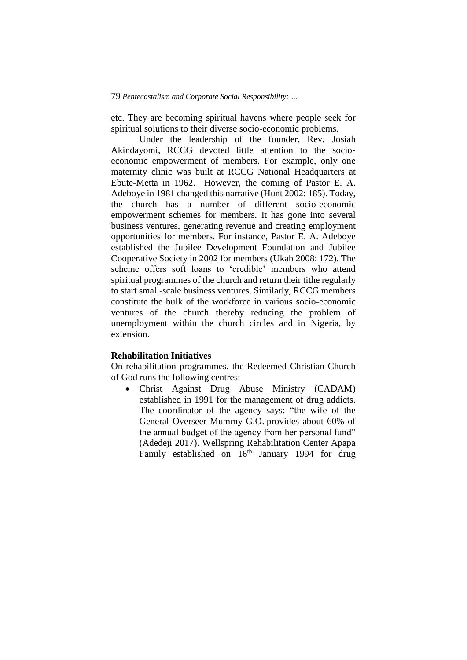etc. They are becoming spiritual havens where people seek for spiritual solutions to their diverse socio-economic problems.

Under the leadership of the founder, Rev. Josiah Akindayomi, RCCG devoted little attention to the socioeconomic empowerment of members. For example, only one maternity clinic was built at RCCG National Headquarters at Ebute-Metta in 1962. However, the coming of Pastor E. A. Adeboye in 1981 changed this narrative (Hunt 2002: 185). Today, the church has a number of different socio-economic empowerment schemes for members. It has gone into several business ventures, generating revenue and creating employment opportunities for members. For instance, Pastor E. A. Adeboye established the Jubilee Development Foundation and Jubilee Cooperative Society in 2002 for members (Ukah 2008: 172). The scheme offers soft loans to 'credible' members who attend spiritual programmes of the church and return their tithe regularly to start small-scale business ventures. Similarly, RCCG members constitute the bulk of the workforce in various socio-economic ventures of the church thereby reducing the problem of unemployment within the church circles and in Nigeria, by extension.

## **Rehabilitation Initiatives**

On rehabilitation programmes, the Redeemed Christian Church of God runs the following centres:

 Christ Against Drug Abuse Ministry (CADAM) established in 1991 for the management of drug addicts. The coordinator of the agency says: "the wife of the General Overseer Mummy G.O. provides about 60% of the annual budget of the agency from her personal fund" (Adedeji 2017). Wellspring Rehabilitation Center Apapa Family established on  $16<sup>th</sup>$  January 1994 for drug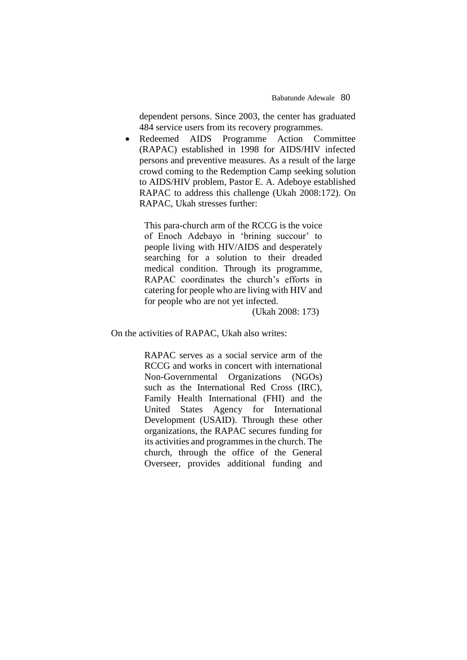dependent persons. Since 2003, the center has graduated 484 service users from its recovery programmes.

 Redeemed AIDS Programme Action Committee (RAPAC) established in 1998 for AIDS/HIV infected persons and preventive measures. As a result of the large crowd coming to the Redemption Camp seeking solution to AIDS/HIV problem, Pastor E. A. Adeboye established RAPAC to address this challenge (Ukah 2008:172). On RAPAC, Ukah stresses further:

This para-church arm of the RCCG is the voice of Enoch Adebayo in 'brining succour' to people living with HIV/AIDS and desperately searching for a solution to their dreaded medical condition. Through its programme, RAPAC coordinates the church's efforts in catering for people who are living with HIV and for people who are not yet infected.

(Ukah 2008: 173)

On the activities of RAPAC, Ukah also writes:

RAPAC serves as a social service arm of the RCCG and works in concert with international Non-Governmental Organizations (NGOs) such as the International Red Cross (IRC), Family Health International (FHI) and the United States Agency for International Development (USAID). Through these other organizations, the RAPAC secures funding for its activities and programmes in the church. The church, through the office of the General Overseer, provides additional funding and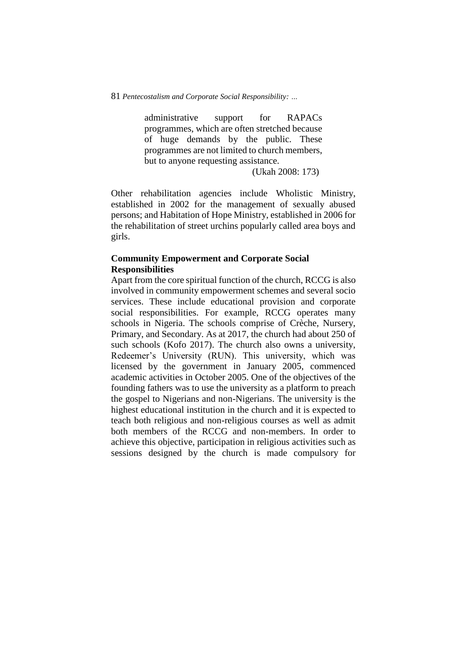administrative support for RAPACs programmes, which are often stretched because of huge demands by the public. These programmes are not limited to church members, but to anyone requesting assistance.

(Ukah 2008: 173)

Other rehabilitation agencies include Wholistic Ministry, established in 2002 for the management of sexually abused persons; and Habitation of Hope Ministry, established in 2006 for the rehabilitation of street urchins popularly called area boys and girls.

## **Community Empowerment and Corporate Social Responsibilities**

Apart from the core spiritual function of the church, RCCG is also involved in community empowerment schemes and several socio services. These include educational provision and corporate social responsibilities. For example, RCCG operates many schools in Nigeria. The schools comprise of Crèche, Nursery, Primary, and Secondary. As at 2017, the church had about 250 of such schools (Kofo 2017). The church also owns a university, Redeemer's University (RUN). This university, which was licensed by the government in January 2005, commenced academic activities in October 2005. One of the objectives of the founding fathers was to use the university as a platform to preach the gospel to Nigerians and non-Nigerians. The university is the highest educational institution in the church and it is expected to teach both religious and non-religious courses as well as admit both members of the RCCG and non-members. In order to achieve this objective, participation in religious activities such as sessions designed by the church is made compulsory for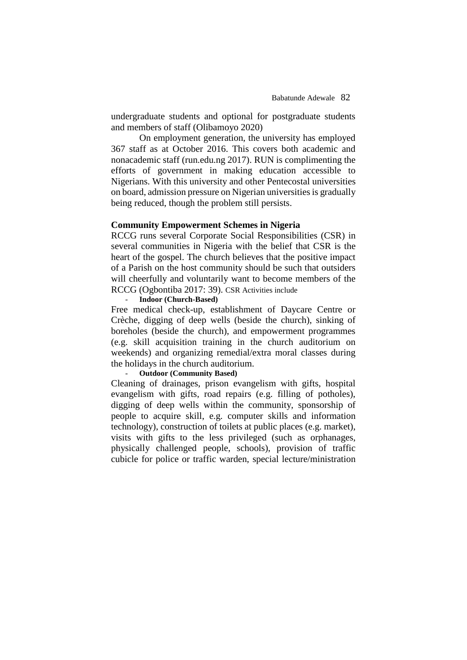undergraduate students and optional for postgraduate students and members of staff (Olibamoyo 2020)

On employment generation, the university has employed 367 staff as at October 2016. This covers both academic and nonacademic staff (run.edu.ng 2017). RUN is complimenting the efforts of government in making education accessible to Nigerians. With this university and other Pentecostal universities on board, admission pressure on Nigerian universities is gradually being reduced, though the problem still persists.

## **Community Empowerment Schemes in Nigeria**

RCCG runs several Corporate Social Responsibilities (CSR) in several communities in Nigeria with the belief that CSR is the heart of the gospel. The church believes that the positive impact of a Parish on the host community should be such that outsiders will cheerfully and voluntarily want to become members of the RCCG (Ogbontiba 2017: 39). CSR Activities include

- **Indoor (Church-Based)**

Free medical check-up, establishment of Daycare Centre or Crèche, digging of deep wells (beside the church), sinking of boreholes (beside the church), and empowerment programmes (e.g. skill acquisition training in the church auditorium on weekends) and organizing remedial/extra moral classes during the holidays in the church auditorium.

## - **Outdoor (Community Based)**

Cleaning of drainages, prison evangelism with gifts, hospital evangelism with gifts, road repairs (e.g. filling of potholes), digging of deep wells within the community, sponsorship of people to acquire skill, e.g. computer skills and information technology), construction of toilets at public places (e.g. market), visits with gifts to the less privileged (such as orphanages, physically challenged people, schools), provision of traffic cubicle for police or traffic warden, special lecture/ministration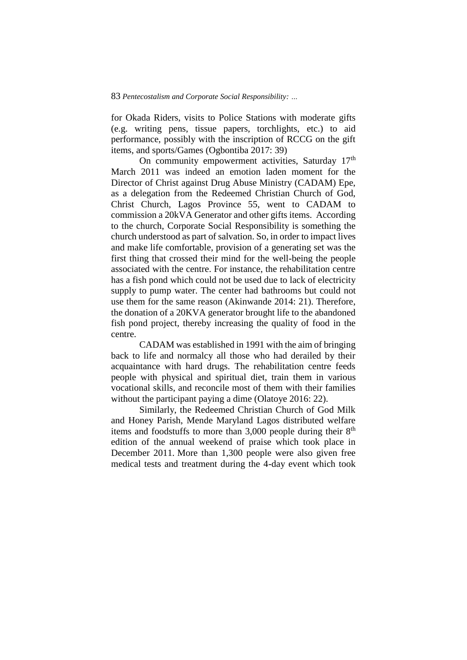for Okada Riders, visits to Police Stations with moderate gifts (e.g. writing pens, tissue papers, torchlights, etc.) to aid performance, possibly with the inscription of RCCG on the gift items, and sports/Games (Ogbontiba 2017: 39)

On community empowerment activities, Saturday 17<sup>th</sup> March 2011 was indeed an emotion laden moment for the Director of Christ against Drug Abuse Ministry (CADAM) Epe, as a delegation from the Redeemed Christian Church of God, Christ Church, Lagos Province 55, went to CADAM to commission a 20kVA Generator and other gifts items. According to the church, Corporate Social Responsibility is something the church understood as part of salvation. So, in order to impact lives and make life comfortable, provision of a generating set was the first thing that crossed their mind for the well-being the people associated with the centre. For instance, the rehabilitation centre has a fish pond which could not be used due to lack of electricity supply to pump water. The center had bathrooms but could not use them for the same reason (Akinwande 2014: 21). Therefore, the donation of a 20KVA generator brought life to the abandoned fish pond project, thereby increasing the quality of food in the centre.

CADAM was established in 1991 with the aim of bringing back to life and normalcy all those who had derailed by their acquaintance with hard drugs. The rehabilitation centre feeds people with physical and spiritual diet, train them in various vocational skills, and reconcile most of them with their families without the participant paying a dime (Olatoye 2016: 22).

Similarly, the Redeemed Christian Church of God Milk and Honey Parish, Mende Maryland Lagos distributed welfare items and foodstuffs to more than  $3,000$  people during their  $8<sup>th</sup>$ edition of the annual weekend of praise which took place in December 2011. More than 1,300 people were also given free medical tests and treatment during the 4-day event which took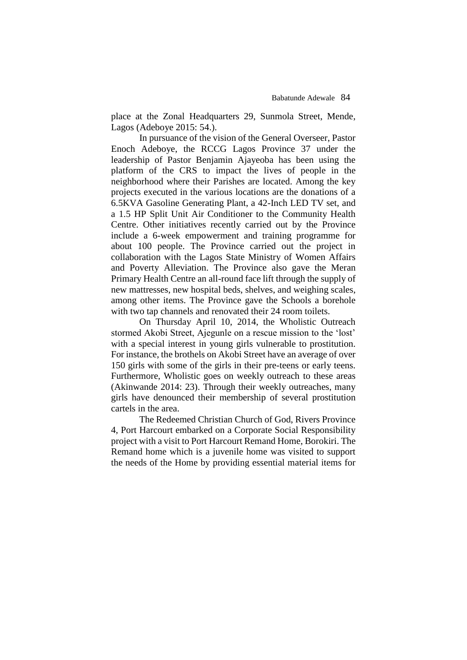place at the Zonal Headquarters 29, Sunmola Street, Mende, Lagos (Adeboye 2015: 54.).

In pursuance of the vision of the General Overseer, Pastor Enoch Adeboye, the RCCG Lagos Province 37 under the leadership of Pastor Benjamin Ajayeoba has been using the platform of the CRS to impact the lives of people in the neighborhood where their Parishes are located. Among the key projects executed in the various locations are the donations of a 6.5KVA Gasoline Generating Plant, a 42-Inch LED TV set, and a 1.5 HP Split Unit Air Conditioner to the Community Health Centre. Other initiatives recently carried out by the Province include a 6-week empowerment and training programme for about 100 people. The Province carried out the project in collaboration with the Lagos State Ministry of Women Affairs and Poverty Alleviation. The Province also gave the Meran Primary Health Centre an all-round face lift through the supply of new mattresses, new hospital beds, shelves, and weighing scales, among other items. The Province gave the Schools a borehole with two tap channels and renovated their 24 room toilets.

On Thursday April 10, 2014, the Wholistic Outreach stormed Akobi Street, Ajegunle on a rescue mission to the 'lost' with a special interest in young girls vulnerable to prostitution. For instance, the brothels on Akobi Street have an average of over 150 girls with some of the girls in their pre-teens or early teens. Furthermore, Wholistic goes on weekly outreach to these areas (Akinwande 2014: 23). Through their weekly outreaches, many girls have denounced their membership of several prostitution cartels in the area.

The Redeemed Christian Church of God, Rivers Province 4, Port Harcourt embarked on a Corporate Social Responsibility project with a visit to Port Harcourt Remand Home, Borokiri. The Remand home which is a juvenile home was visited to support the needs of the Home by providing essential material items for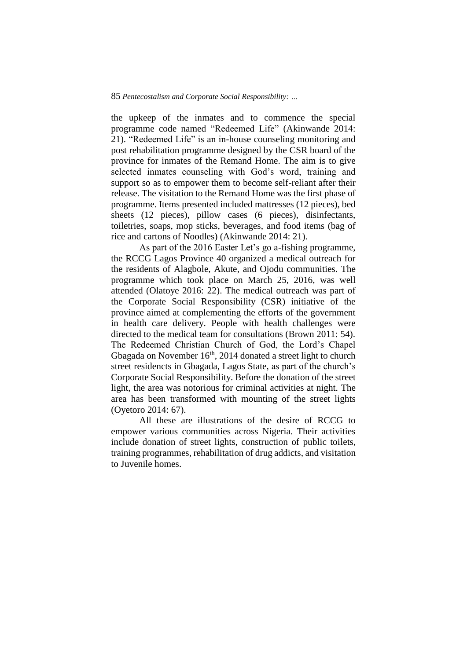the upkeep of the inmates and to commence the special programme code named "Redeemed Life" (Akinwande 2014: 21). "Redeemed Life" is an in-house counseling monitoring and post rehabilitation programme designed by the CSR board of the province for inmates of the Remand Home. The aim is to give selected inmates counseling with God's word, training and support so as to empower them to become self-reliant after their release. The visitation to the Remand Home was the first phase of programme. Items presented included mattresses (12 pieces), bed sheets (12 pieces), pillow cases (6 pieces), disinfectants, toiletries, soaps, mop sticks, beverages, and food items (bag of rice and cartons of Noodles) (Akinwande 2014: 21).

As part of the 2016 Easter Let's go a-fishing programme, the RCCG Lagos Province 40 organized a medical outreach for the residents of Alagbole, Akute, and Ojodu communities. The programme which took place on March 25, 2016, was well attended (Olatoye 2016: 22). The medical outreach was part of the Corporate Social Responsibility (CSR) initiative of the province aimed at complementing the efforts of the government in health care delivery. People with health challenges were directed to the medical team for consultations (Brown 2011: 54). The Redeemed Christian Church of God, the Lord's Chapel Gbagada on November  $16<sup>th</sup>$ , 2014 donated a street light to church street residencts in Gbagada, Lagos State, as part of the church's Corporate Social Responsibility. Before the donation of the street light, the area was notorious for criminal activities at night. The area has been transformed with mounting of the street lights (Oyetoro 2014: 67).

All these are illustrations of the desire of RCCG to empower various communities across Nigeria. Their activities include donation of street lights, construction of public toilets, training programmes, rehabilitation of drug addicts, and visitation to Juvenile homes.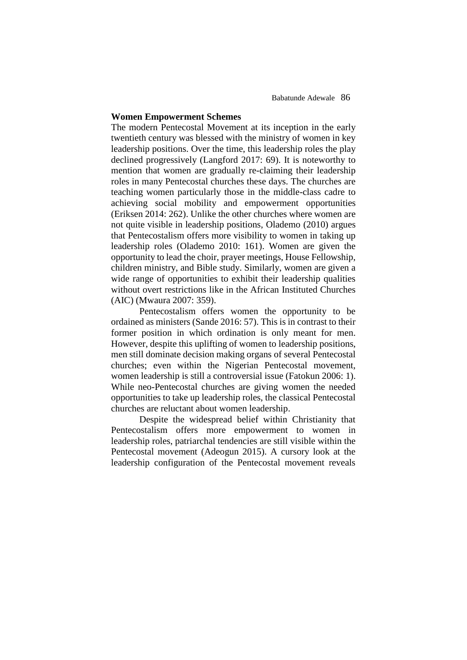### **Women Empowerment Schemes**

The modern Pentecostal Movement at its inception in the early twentieth century was blessed with the ministry of women in key leadership positions. Over the time, this leadership roles the play declined progressively (Langford 2017: 69). It is noteworthy to mention that women are gradually re-claiming their leadership roles in many Pentecostal churches these days. The churches are teaching women particularly those in the middle-class cadre to achieving social mobility and empowerment opportunities (Eriksen 2014: 262). Unlike the other churches where women are not quite visible in leadership positions, Olademo (2010) argues that Pentecostalism offers more visibility to women in taking up leadership roles (Olademo 2010: 161). Women are given the opportunity to lead the choir, prayer meetings, House Fellowship, children ministry, and Bible study. Similarly, women are given a wide range of opportunities to exhibit their leadership qualities without overt restrictions like in the African Instituted Churches (AIC) (Mwaura 2007: 359).

Pentecostalism offers women the opportunity to be ordained as ministers (Sande 2016: 57). This is in contrast to their former position in which ordination is only meant for men. However, despite this uplifting of women to leadership positions, men still dominate decision making organs of several Pentecostal churches; even within the Nigerian Pentecostal movement, women leadership is still a controversial issue (Fatokun 2006: 1). While neo-Pentecostal churches are giving women the needed opportunities to take up leadership roles, the classical Pentecostal churches are reluctant about women leadership.

Despite the widespread belief within Christianity that Pentecostalism offers more empowerment to women in leadership roles, patriarchal tendencies are still visible within the Pentecostal movement (Adeogun 2015). A cursory look at the leadership configuration of the Pentecostal movement reveals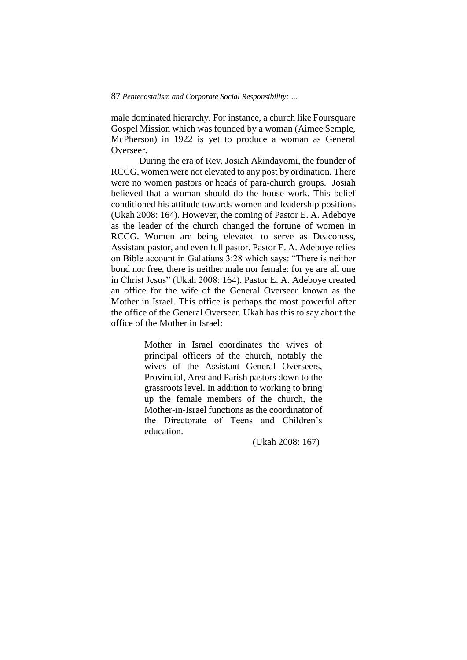male dominated hierarchy. For instance, a church like Foursquare Gospel Mission which was founded by a woman (Aimee Semple, McPherson) in 1922 is yet to produce a woman as General Overseer.

During the era of Rev. Josiah Akindayomi, the founder of RCCG, women were not elevated to any post by ordination. There were no women pastors or heads of para-church groups. Josiah believed that a woman should do the house work. This belief conditioned his attitude towards women and leadership positions (Ukah 2008: 164). However, the coming of Pastor E. A. Adeboye as the leader of the church changed the fortune of women in RCCG. Women are being elevated to serve as Deaconess, Assistant pastor, and even full pastor. Pastor E. A. Adeboye relies on Bible account in Galatians 3:28 which says: "There is neither bond nor free, there is neither male nor female: for ye are all one in Christ Jesus" (Ukah 2008: 164). Pastor E. A. Adeboye created an office for the wife of the General Overseer known as the Mother in Israel. This office is perhaps the most powerful after the office of the General Overseer. Ukah has this to say about the office of the Mother in Israel:

> Mother in Israel coordinates the wives of principal officers of the church, notably the wives of the Assistant General Overseers, Provincial, Area and Parish pastors down to the grassroots level. In addition to working to bring up the female members of the church, the Mother-in-Israel functions as the coordinator of the Directorate of Teens and Children's education.

> > (Ukah 2008: 167)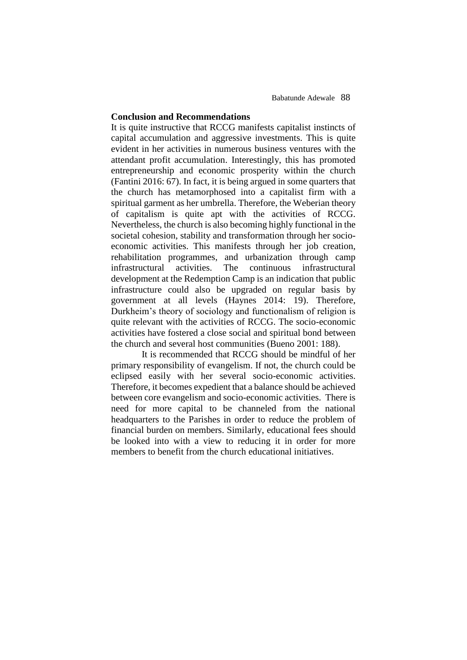## **Conclusion and Recommendations**

It is quite instructive that RCCG manifests capitalist instincts of capital accumulation and aggressive investments. This is quite evident in her activities in numerous business ventures with the attendant profit accumulation. Interestingly, this has promoted entrepreneurship and economic prosperity within the church (Fantini 2016: 67). In fact, it is being argued in some quarters that the church has metamorphosed into a capitalist firm with a spiritual garment as her umbrella. Therefore, the Weberian theory of capitalism is quite apt with the activities of RCCG. Nevertheless, the church is also becoming highly functional in the societal cohesion, stability and transformation through her socioeconomic activities. This manifests through her job creation, rehabilitation programmes, and urbanization through camp infrastructural activities. The continuous infrastructural development at the Redemption Camp is an indication that public infrastructure could also be upgraded on regular basis by government at all levels (Haynes 2014: 19). Therefore, Durkheim's theory of sociology and functionalism of religion is quite relevant with the activities of RCCG. The socio-economic activities have fostered a close social and spiritual bond between the church and several host communities (Bueno 2001: 188).

 It is recommended that RCCG should be mindful of her primary responsibility of evangelism. If not, the church could be eclipsed easily with her several socio-economic activities. Therefore, it becomes expedient that a balance should be achieved between core evangelism and socio-economic activities. There is need for more capital to be channeled from the national headquarters to the Parishes in order to reduce the problem of financial burden on members. Similarly, educational fees should be looked into with a view to reducing it in order for more members to benefit from the church educational initiatives.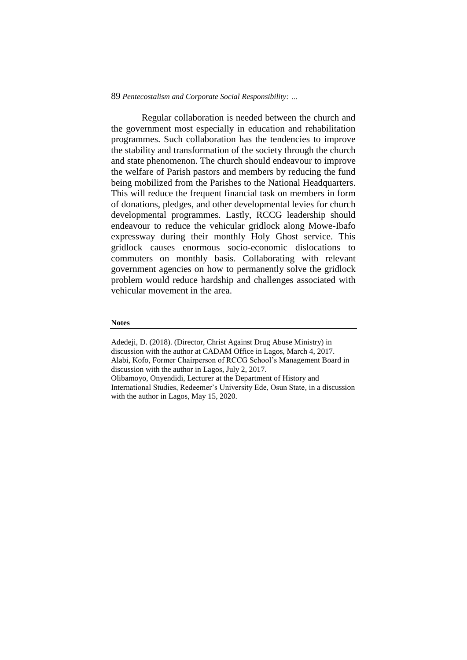Regular collaboration is needed between the church and the government most especially in education and rehabilitation programmes. Such collaboration has the tendencies to improve the stability and transformation of the society through the church and state phenomenon. The church should endeavour to improve the welfare of Parish pastors and members by reducing the fund being mobilized from the Parishes to the National Headquarters. This will reduce the frequent financial task on members in form of donations, pledges, and other developmental levies for church developmental programmes. Lastly, RCCG leadership should endeavour to reduce the vehicular gridlock along Mowe-Ibafo expressway during their monthly Holy Ghost service. This gridlock causes enormous socio-economic dislocations to commuters on monthly basis. Collaborating with relevant government agencies on how to permanently solve the gridlock problem would reduce hardship and challenges associated with vehicular movement in the area.

### **Notes**

Adedeji, D. (2018). (Director, Christ Against Drug Abuse Ministry) in discussion with the author at CADAM Office in Lagos, March 4, 2017. Alabi, Kofo, Former Chairperson of RCCG School's Management Board in discussion with the author in Lagos, July 2, 2017. Olibamoyo, Onyendidi, Lecturer at the Department of History and International Studies, Redeemer's University Ede, Osun State, in a discussion with the author in Lagos, May 15, 2020.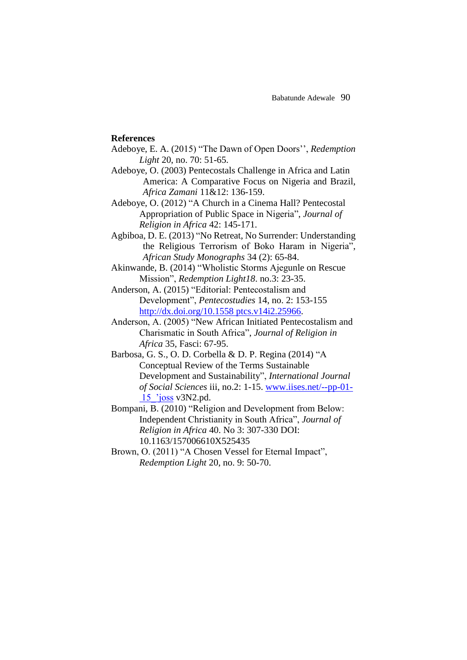## **References**

- Adeboye, E. A. (2015) "The Dawn of Open Doors'', *Redemption Light* 20, no. 70: 51-65.
- Adeboye, O. (2003) Pentecostals Challenge in Africa and Latin America: A Comparative Focus on Nigeria and Brazil, *Africa Zamani* 11&12: 136-159.
- Adeboye, O. (2012) "A Church in a Cinema Hall? Pentecostal Appropriation of Public Space in Nigeria", *Journal of Religion in Africa* 42: 145-171.
- Agbiboa, D. E. (2013) "No Retreat, No Surrender: Understanding the Religious Terrorism of Boko Haram in Nigeria", *African Study Monographs* 34 (2): 65-84.
- Akinwande, B. (2014) "Wholistic Storms Ajegunle on Rescue Mission", *Redemption Light18*. no.3: 23-35.
- Anderson, A. (2015) "Editorial: Pentecostalism and Development", *Pentecostudies* 14, no. 2: 153-155 [http://dx.doi.org/10.1558 ptcs.v14i2.25966.](http://dx.doi.org/10.1558%20ptcs.v14i2.25966)
- Anderson, A. (2005) "New African Initiated Pentecostalism and Charismatic in South Africa", *Journal of Religion in Africa* 35, Fasci: 67-95.
- Barbosa, G. S., O. D. Corbella & D. P. Regina (2014) "A Conceptual Review of the Terms Sustainable Development and Sustainability", *International Journal of Social Sciences* iii, no.2: 1-15. [www.iises.net/--pp-01-](http://www.iises.net/--pp-01-%20%2015_) [15\\_'joss](http://www.iises.net/--pp-01-%20%2015_) v3N2.pd.
- Bompani, B. (2010) "Religion and Development from Below: Independent Christianity in South Africa", *Journal of Religion in Africa* 40. No 3: 307-330 DOI: 10.1163/157006610X525435
- Brown, O. (2011) "A Chosen Vessel for Eternal Impact", *Redemption Light* 20, no. 9: 50-70.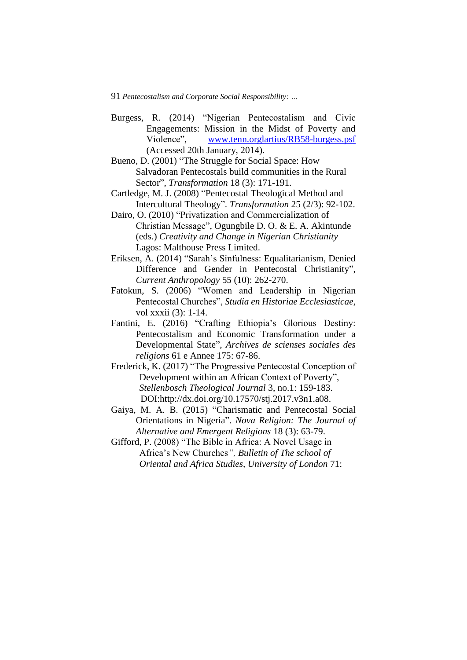- Burgess, R. (2014) "Nigerian Pentecostalism and Civic Engagements: Mission in the Midst of Poverty and Violence", [www.tenn.orglartius/RB58-burgess.psf](http://www.tenn.orglartius/RB58-burgess.psf) (Accessed 20th January, 2014).
- Bueno, D. (2001) "The Struggle for Social Space: How Salvadoran Pentecostals build communities in the Rural Sector", *Transformation* 18 (3): 171-191.
- Cartledge, M. J. (2008) "Pentecostal Theological Method and Intercultural Theology". *Transformation* 25 (2/3): 92-102.
- Dairo, O. (2010) "Privatization and Commercialization of Christian Message", Ogungbile D. O. & E. A. Akintunde (eds.) *Creativity and Change in Nigerian Christianity* Lagos: Malthouse Press Limited.
- Eriksen, A. (2014) "Sarah's Sinfulness: Equalitarianism, Denied Difference and Gender in Pentecostal Christianity", *Current Anthropology* 55 (10): 262-270.
- Fatokun, S. (2006) "Women and Leadership in Nigerian Pentecostal Churches", *Studia en Historiae Ecclesiasticae*, vol xxxii (3): 1-14.
- Fantini, E. (2016) "Crafting Ethiopia's Glorious Destiny: Pentecostalism and Economic Transformation under a Developmental State", *Archives de scienses sociales des religions* 61 e Annee 175: 67-86.
- Frederick, K. (2017) "The Progressive Pentecostal Conception of Development within an African Context of Poverty", *Stellenbosch Theological Journal* 3, no.1: 159-183. DOI:http://dx.doi.org/10.17570/stj.2017.v3n1.a08.
- Gaiya, M. A. B. (2015) "Charismatic and Pentecostal Social Orientations in Nigeria". *Nova Religion: The Journal of Alternative and Emergent Religions* 18 (3): 63-79.
- Gifford, P. (2008) "The Bible in Africa: A Novel Usage in Africa's New Churches*", Bulletin of The school of Oriental and Africa Studies, University of London* 71: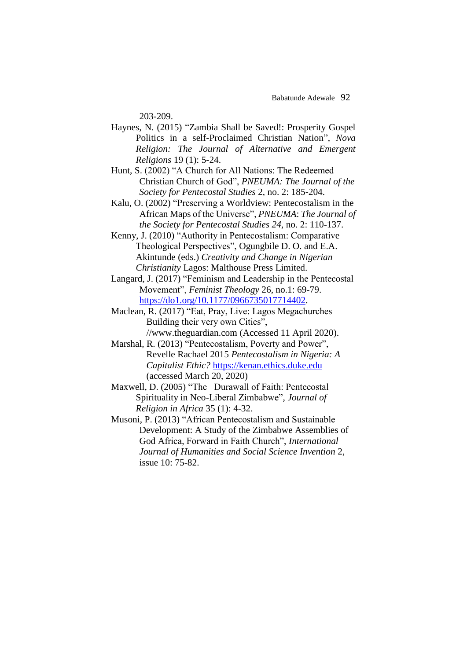203-209.

- Haynes, N. (2015) "Zambia Shall be Saved!: Prosperity Gospel Politics in a self-Proclaimed Christian Nation", *Nova Religion: The Journal of Alternative and Emergent Religions* 19 (1): 5-24.
- Hunt, S. (2002) "A Church for All Nations: The Redeemed Christian Church of God", *PNEUMA: The Journal of the Society for Pentecostal Studies* 2, no. 2: 185-204.
- Kalu, O. (2002) "Preserving a Worldview: Pentecostalism in the African Maps of the Universe", *PNEUMA*: *The Journal of the Society for Pentecostal Studies 24*, no. 2: 110-137.
- Kenny, J. (2010) "Authority in Pentecostalism: Comparative Theological Perspectives", Ogungbile D. O. and E.A. Akintunde (eds.) *Creativity and Change in Nigerian Christianity* Lagos: Malthouse Press Limited.
- Langard, J. (2017) "Feminism and Leadership in the Pentecostal Movement", *Feminist Theology* 26, no.1: 69-79. [https://do1.org/10.1177/0966735017714402.](https://do1.org/10.1177/0966735017714402)
- Maclean, R. (2017) "Eat, Pray, Live: Lagos Megachurches Building their very own Cities", //www.theguardian.com (Accessed 11 April 2020).
- Marshal, R. (2013) "Pentecostalism, Poverty and Power", Revelle Rachael 2015 *Pentecostalism in Nigeria: A Capitalist Ethic?* [https://kenan.ethics.duke.edu](https://kenan.ethics.duke.edu/) (accessed March 20, 2020)
- Maxwell, D. (2005) "The Durawall of Faith: Pentecostal Spirituality in Neo-Liberal Zimbabwe", *Journal of Religion in Africa* 35 (1): 4-32.
- Musoni, P. (2013) "African Pentecostalism and Sustainable Development: A Study of the Zimbabwe Assemblies of God Africa, Forward in Faith Church", *International Journal of Humanities and Social Science Invention* 2, issue 10: 75-82.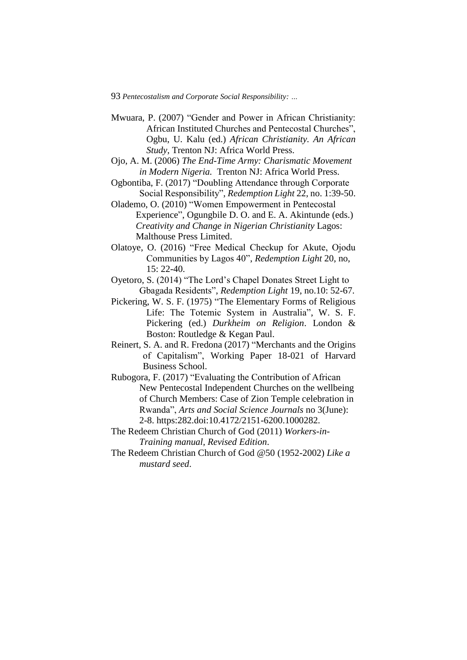- Mwuara, P. (2007) "Gender and Power in African Christianity: African Instituted Churches and Pentecostal Churches", Ogbu, U. Kalu (ed.) *African Christianity. An African Study,* Trenton NJ: Africa World Press.
- Ojo, A. M. (2006) *The End-Time Army: Charismatic Movement in Modern Nigeria.* Trenton NJ: Africa World Press.
- Ogbontiba, F. (2017) "Doubling Attendance through Corporate Social Responsibility", *Redemption Light* 22, no. 1:39-50.
- Olademo, O. (2010) "Women Empowerment in Pentecostal Experience", Ogungbile D. O. and E. A. Akintunde (eds.) *Creativity and Change in Nigerian Christianity* Lagos: Malthouse Press Limited.
- Olatoye, O. (2016) "Free Medical Checkup for Akute, Ojodu Communities by Lagos 40", *Redemption Light* 20, no, 15: 22-40.
- Oyetoro, S. (2014) "The Lord's Chapel Donates Street Light to Gbagada Residents", *Redemption Light* 19, no.10: 52-67.
- Pickering, W. S. F. (1975) "The Elementary Forms of Religious Life: The Totemic System in Australia", W. S. F. Pickering (ed.) *Durkheim on Religion*. London & Boston: Routledge & Kegan Paul.
- Reinert, S. A. and R. Fredona (2017) "Merchants and the Origins of Capitalism", Working Paper 18-021 of Harvard Business School.
- Rubogora, F. (2017) "Evaluating the Contribution of African New Pentecostal Independent Churches on the wellbeing of Church Members: Case of Zion Temple celebration in Rwanda", *Arts and Social Science Journals* no 3(June): 2-8. https:282.doi:10.4172/2151-6200.1000282.
- The Redeem Christian Church of God (2011) *Workers-in-Training manual, Revised Edition*.
- The Redeem Christian Church of God @50 (1952-2002) *Like a mustard seed*.